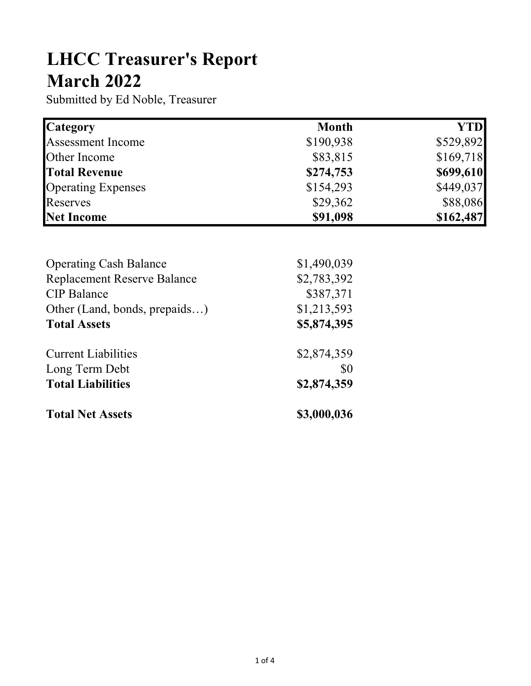## LHCC Treasurer's Report March 2022

Submitted by Ed Noble, Treasurer

| <b>Category</b>           | <b>Month</b> | YTD       |
|---------------------------|--------------|-----------|
| Assessment Income         | \$190,938    | \$529,892 |
| Other Income              | \$83,815     | \$169,718 |
| <b>Total Revenue</b>      | \$274,753    | \$699,610 |
| <b>Operating Expenses</b> | \$154,293    | \$449,037 |
| Reserves                  | \$29,362     | \$88,086  |
| Net Income                | \$91,098     | \$162,487 |

| <b>Operating Cash Balance</b>      | \$1,490,039 |
|------------------------------------|-------------|
| <b>Replacement Reserve Balance</b> | \$2,783,392 |
| <b>CIP</b> Balance                 | \$387,371   |
| Other (Land, bonds, prepaids)      | \$1,213,593 |
| <b>Total Assets</b>                | \$5,874,395 |
| <b>Current Liabilities</b>         | \$2,874,359 |
| Long Term Debt                     | \$0         |
| <b>Total Liabilities</b>           | \$2,874,359 |
| <b>Total Net Assets</b>            | \$3,000,036 |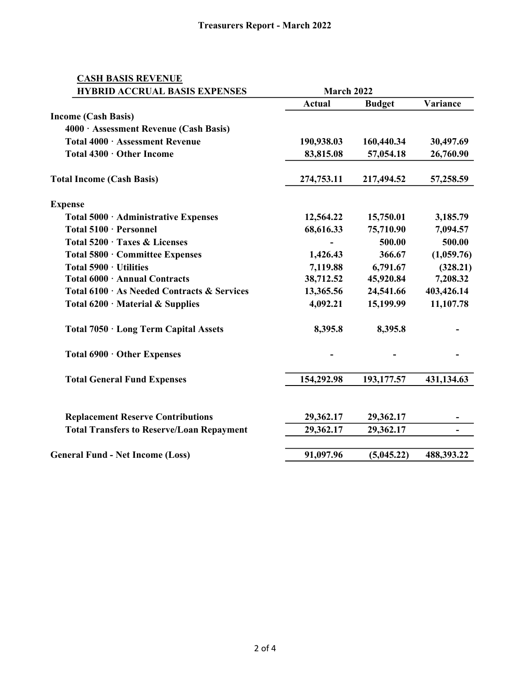## CASH BASIS REVENUE

| <b>HYBRID ACCRUAL BASIS EXPENSES</b>             | March 2022    |               |            |
|--------------------------------------------------|---------------|---------------|------------|
|                                                  | <b>Actual</b> | <b>Budget</b> | Variance   |
| <b>Income (Cash Basis)</b>                       |               |               |            |
| 4000 · Assessment Revenue (Cash Basis)           |               |               |            |
| Total 4000 · Assessment Revenue                  | 190,938.03    | 160,440.34    | 30,497.69  |
| Total 4300 · Other Income                        | 83,815.08     | 57,054.18     | 26,760.90  |
| <b>Total Income (Cash Basis)</b>                 | 274,753.11    | 217,494.52    | 57,258.59  |
| <b>Expense</b>                                   |               |               |            |
| Total 5000 · Administrative Expenses             | 12,564.22     | 15,750.01     | 3,185.79   |
| Total 5100 · Personnel                           | 68,616.33     | 75,710.90     | 7,094.57   |
| Total 5200 · Taxes & Licenses                    |               | 500.00        | 500.00     |
| Total 5800 · Committee Expenses                  | 1,426.43      | 366.67        | (1,059.76) |
| Total 5900 · Utilities                           | 7,119.88      | 6,791.67      | (328.21)   |
| Total 6000 · Annual Contracts                    | 38,712.52     | 45,920.84     | 7,208.32   |
| Total 6100 · As Needed Contracts & Services      | 13,365.56     | 24,541.66     | 403,426.14 |
| Total $6200 \cdot$ Material & Supplies           | 4,092.21      | 15,199.99     | 11,107.78  |
| Total 7050 · Long Term Capital Assets            | 8,395.8       | 8,395.8       |            |
| Total 6900 · Other Expenses                      |               |               |            |
| <b>Total General Fund Expenses</b>               | 154,292.98    | 193,177.57    | 431,134.63 |
| <b>Replacement Reserve Contributions</b>         | 29,362.17     | 29,362.17     |            |
| <b>Total Transfers to Reserve/Loan Repayment</b> | 29,362.17     | 29,362.17     | ÷          |
| <b>General Fund - Net Income (Loss)</b>          | 91,097.96     | (5,045.22)    | 488,393.22 |
|                                                  |               |               |            |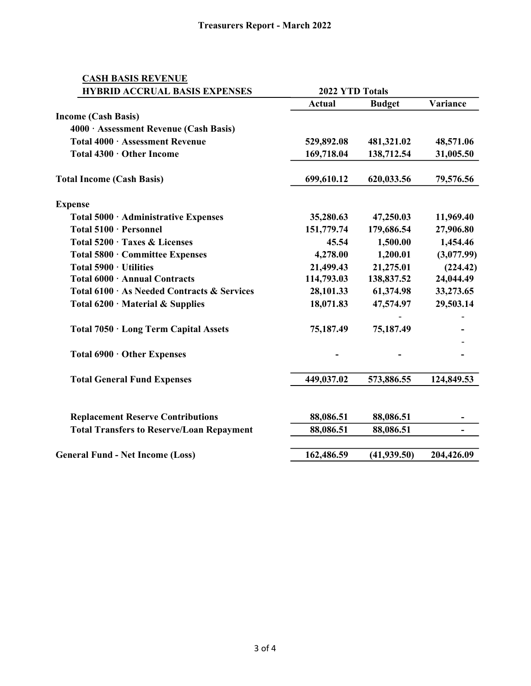## CASH BASIS REVENUE

| <b>HYBRID ACCRUAL BASIS EXPENSES</b>             | 2022 YTD Totals |               |            |
|--------------------------------------------------|-----------------|---------------|------------|
|                                                  | <b>Actual</b>   | <b>Budget</b> | Variance   |
| <b>Income (Cash Basis)</b>                       |                 |               |            |
| 4000 · Assessment Revenue (Cash Basis)           |                 |               |            |
| Total 4000 · Assessment Revenue                  | 529,892.08      | 481,321.02    | 48,571.06  |
| Total 4300 · Other Income                        | 169,718.04      | 138,712.54    | 31,005.50  |
| <b>Total Income (Cash Basis)</b>                 | 699,610.12      | 620,033.56    | 79,576.56  |
| <b>Expense</b>                                   |                 |               |            |
| Total 5000 · Administrative Expenses             | 35,280.63       | 47,250.03     | 11,969.40  |
| Total 5100 · Personnel                           | 151,779.74      | 179,686.54    | 27,906.80  |
| Total 5200 · Taxes & Licenses                    | 45.54           | 1,500.00      | 1,454.46   |
| Total 5800 · Committee Expenses                  | 4,278.00        | 1,200.01      | (3,077.99) |
| Total $5900 \cdot$ Utilities                     | 21,499.43       | 21,275.01     | (224.42)   |
| Total 6000 · Annual Contracts                    | 114,793.03      | 138,837.52    | 24,044.49  |
| Total 6100 · As Needed Contracts & Services      | 28,101.33       | 61,374.98     | 33,273.65  |
| Total $6200 \cdot$ Material & Supplies           | 18,071.83       | 47,574.97     | 29,503.14  |
| Total 7050 · Long Term Capital Assets            | 75,187.49       | 75,187.49     |            |
| Total 6900 · Other Expenses                      |                 |               |            |
| <b>Total General Fund Expenses</b>               | 449,037.02      | 573,886.55    | 124,849.53 |
| <b>Replacement Reserve Contributions</b>         | 88,086.51       | 88,086.51     |            |
| <b>Total Transfers to Reserve/Loan Repayment</b> | 88,086.51       | 88,086.51     | ٠.         |
|                                                  |                 |               |            |
| <b>General Fund - Net Income (Loss)</b>          | 162,486.59      | (41, 939.50)  | 204,426.09 |